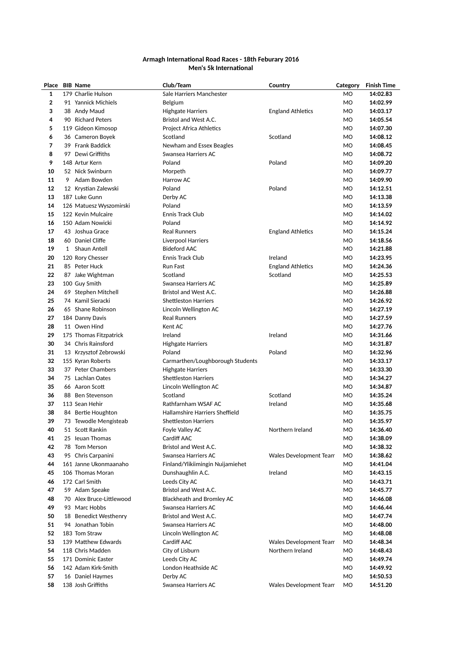## Armagh International Road Races - 18th Feburary 2016 **Men's 5k International**

| Place                   |              | <b>BIB Name</b>          | Club/Team                        | Country                       | Category       | <b>Finish Time</b> |
|-------------------------|--------------|--------------------------|----------------------------------|-------------------------------|----------------|--------------------|
| 1                       |              | 179 Charlie Hulson       | Sale Harriers Manchester         |                               | M <sub>O</sub> | 14:02.83           |
| $\overline{\mathbf{2}}$ |              | 91 Yannick Michiels      | Belgium                          |                               | M <sub>O</sub> | 14:02.99           |
| 3                       |              | 38 Andy Maud             | Highgate Harriers                | <b>England Athletics</b>      | M <sub>O</sub> | 14:03.17           |
| 4                       |              | 90 Richard Peters        | Bristol and West A.C.            |                               | M <sub>O</sub> | 14:05.54           |
| 5                       |              | 119 Gideon Kimosop       | Project Africa Athletics         |                               | <b>MO</b>      | 14:07.30           |
| 6                       |              | 36 Cameron Boyek         | Scotland                         | Scotland                      | M <sub>O</sub> | 14:08.12           |
| 7                       |              | 39 Frank Baddick         | Newham and Essex Beagles         |                               | <b>MO</b>      | 14:08.45           |
| 8                       |              | 97 Dewi Griffiths        | Swansea Harriers AC              |                               | M <sub>O</sub> | 14:08.72           |
| 9                       |              | 148 Artur Kern           | Poland                           | Poland                        | M <sub>O</sub> | 14:09.20           |
| 10                      |              | 52 Nick Swinburn         | Morpeth                          |                               | M <sub>O</sub> | 14:09.77           |
| 11                      | 9            | Adam Bowden              | Harrow AC                        |                               | <b>MO</b>      | 14:09.90           |
| 12                      |              | 12 Krystian Zalewski     | Poland                           | Poland                        | M <sub>O</sub> | 14:12.51           |
| 13                      |              | 187 Luke Gunn            | Derby AC                         |                               | M <sub>O</sub> | 14:13.38           |
| 14                      |              | 126 Matuesz Wyszomirski  | Poland                           |                               | M <sub>O</sub> | 14:13.59           |
| 15                      |              | 122 Kevin Mulcaire       | Ennis Track Club                 |                               | M <sub>O</sub> | 14:14.02           |
| 16                      |              | 150 Adam Nowicki         | Poland                           |                               | M <sub>O</sub> | 14:14.92           |
| 17                      |              | 43 Joshua Grace          | <b>Real Runners</b>              | <b>England Athletics</b>      | M <sub>O</sub> | 14:15.24           |
| 18                      |              | 60 Daniel Cliffe         | <b>Liverpool Harriers</b>        |                               | M <sub>O</sub> | 14:18.56           |
| 19                      | $\mathbf{1}$ | Shaun Antell             | <b>Bideford AAC</b>              |                               | <b>MO</b>      | 14:21.88           |
| 20                      |              | 120 Rory Chesser         | Ennis Track Club                 | Ireland                       | M <sub>O</sub> | 14:23.95           |
| 21                      |              | 85 Peter Huck            | <b>Run Fast</b>                  | <b>England Athletics</b>      | M <sub>O</sub> | 14:24.36           |
| 22                      |              | 87 Jake Wightman         | Scotland                         | Scotland                      | M <sub>O</sub> | 14:25.53           |
| 23                      |              | 100 Guy Smith            | Swansea Harriers AC              |                               | M <sub>O</sub> | 14:25.89           |
| 24                      |              | 69 Stephen Mitchell      | Bristol and West A.C.            |                               | M <sub>O</sub> | 14:26.88           |
| 25                      |              | 74 Kamil Sieracki        | <b>Shettleston Harriers</b>      |                               | M <sub>O</sub> | 14:26.92           |
| 26                      |              | 65 Shane Robinson        | Lincoln Wellington AC            |                               | M <sub>O</sub> | 14:27.19           |
| 27                      |              | 184 Danny Davis          | <b>Real Runners</b>              |                               | <b>MO</b>      | 14:27.59           |
| 28                      |              | 11 Owen Hind             | Kent AC                          |                               | <b>MO</b>      | 14:27.76           |
| 29                      |              | 175 Thomas Fitzpatrick   | Ireland                          | Ireland                       | <b>MO</b>      | 14:31.66           |
| 30                      |              | 34 Chris Rainsford       | <b>Highgate Harriers</b>         |                               | M <sub>O</sub> | 14:31.87           |
| 31                      |              | 13 Krzysztof Zebrowski   | Poland                           | Poland                        | <b>MO</b>      | 14:32.96           |
| 32                      |              | 155 Kyran Roberts        | Carmarthen/Loughborough Students |                               | M <sub>O</sub> | 14:33.17           |
| 33                      |              | 37 Peter Chambers        | <b>Highgate Harriers</b>         |                               | M <sub>O</sub> | 14:33.30           |
| 34                      |              | 75 Lachlan Oates         | <b>Shettleston Harriers</b>      |                               | M <sub>O</sub> | 14:34.27           |
| 35                      |              | 66 Aaron Scott           | Lincoln Wellington AC            |                               | M <sub>O</sub> | 14:34.87           |
| 36                      |              | 88 Ben Stevenson         | Scotland                         | Scotland                      | MO             | 14:35.24           |
| 37                      |              | 113 Sean Hehir           | Rathfarnham WSAF AC              | Ireland                       | M <sub>O</sub> | 14:35.68           |
| 38                      |              | 84 Bertie Houghton       | Hallamshire Harriers Sheffield   |                               | M <sub>O</sub> | 14:35.75           |
| 39                      |              | 73 Tewodle Mengisteab    | <b>Shettleston Harriers</b>      |                               | M <sub>O</sub> | 14:35.97           |
| 40                      |              | 51 Scott Rankin          | Foyle Valley AC                  | Northern Ireland              | <b>MO</b>      | 14:36.40           |
| 41                      |              | 25 Ieuan Thomas          | Cardiff AAC                      |                               | M <sub>O</sub> | 14:38.09           |
| 42                      |              | 78 Tom Merson            | Bristol and West A.C.            |                               | M <sub>O</sub> | 14:38.32           |
| 43                      |              | 95 Chris Carpanini       | Swansea Harriers AC              | <b>Wales Development Team</b> | M <sub>O</sub> | 14:38.62           |
| 44                      |              | 161 Janne Ukonmaanaho    | Finland/Ylikiimingin Nuijamiehet |                               | M <sub>O</sub> | 14:41.04           |
| 45                      |              | 106 Thomas Moran         | Dunshaughlin A.C.                | Ireland                       | M <sub>O</sub> | 14:43.15           |
| 46                      |              | 172 Carl Smith           | Leeds City AC                    |                               | M <sub>O</sub> | 14:43.71           |
| 47                      |              | 59 Adam Speake           | Bristol and West A.C.            |                               | M <sub>O</sub> | 14:45.77           |
| 48                      |              | 70 Alex Bruce-Littlewood | Blackheath and Bromley AC        |                               | M <sub>O</sub> | 14:46.08           |
| 49                      |              | 93 Marc Hobbs            | Swansea Harriers AC              |                               | M <sub>O</sub> | 14:46.44           |
| 50                      |              | 18 Benedict Westhenry    | Bristol and West A.C.            |                               | M <sub>O</sub> | 14:47.74           |
| 51                      |              | 94 Jonathan Tobin        | Swansea Harriers AC              |                               | M <sub>O</sub> | 14:48.00           |
| 52                      |              | 183 Tom Straw            | Lincoln Wellington AC            |                               | M <sub>O</sub> | 14:48.08           |
| 53                      |              | 139 Matthew Edwards      | Cardiff AAC                      | <b>Wales Development Team</b> | M <sub>O</sub> | 14:48.34           |
| 54                      |              | 118 Chris Madden         | City of Lisburn                  | Northern Ireland              | MO             | 14:48.43           |
| 55                      |              | 171 Dominic Easter       | Leeds City AC                    |                               | M <sub>O</sub> | 14:49.74           |
| 56                      |              | 142 Adam Kirk-Smith      | London Heathside AC              |                               | <b>MO</b>      | 14:49.92           |
| 57                      |              | 16 Daniel Haymes         | Derby AC                         |                               | M <sub>O</sub> | 14:50.53           |
| 58                      |              | 138 Josh Griffiths       | Swansea Harriers AC              | Wales Development Team        | MO             | 14:51.20           |
|                         |              |                          |                                  |                               |                |                    |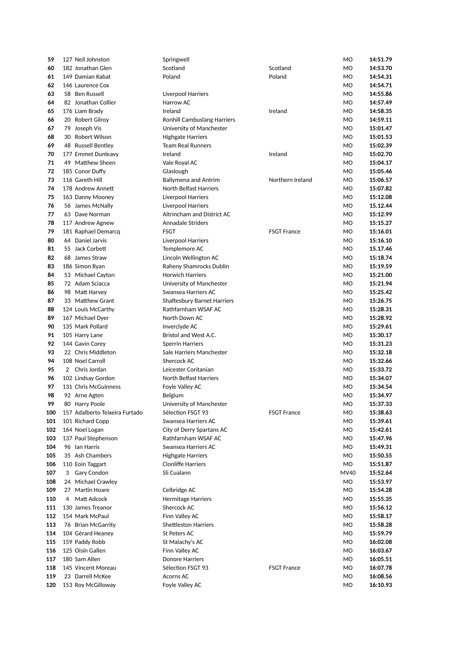| 59  |   | 127 Neil Johnston              | Springwell                         |                    | MO             | 14:51.79 |
|-----|---|--------------------------------|------------------------------------|--------------------|----------------|----------|
| 60  |   | 182 Jonathan Glen              | Scotland                           | Scotland           | <b>MO</b>      | 14:53.70 |
| 61  |   | 149 Damian Kabat               | Poland                             | Poland             | <b>MO</b>      | 14:54.31 |
| 62  |   | 146 Laurence Cox               |                                    |                    | <b>MO</b>      | 14:54.71 |
| 63  |   | 58 Ben Russell                 | <b>Liverpool Harriers</b>          |                    | MO             | 14:55.86 |
| 64  |   | 82 Jonathan Collier            | Harrow AC                          |                    | M <sub>O</sub> | 14:57.49 |
| 65  |   | 176 Liam Brady                 | Ireland                            | Ireland            | <b>MO</b>      | 14:58.35 |
| 66  |   | 20 Robert Gilroy               | <b>Ronhill Cambuslang Harriers</b> |                    | <b>MO</b>      | 14:59.11 |
| 67  |   | 79 Joseph Vis                  | University of Manchester           |                    | <b>MO</b>      | 15:01.47 |
| 68  |   | 30 Robert Wilson               | <b>Highgate Harriers</b>           |                    | <b>MO</b>      | 15:01.53 |
| 69  |   | 48 Russell Bentley             | <b>Team Real Runners</b>           |                    | <b>MO</b>      | 15:02.39 |
| 70  |   | 177 Emmet Dunleavy             | Ireland                            | Ireland            | <b>MO</b>      | 15:02.70 |
| 71  |   | 49 Matthew Sheen               | Vale Royal AC                      |                    | <b>MO</b>      | 15:04.17 |
| 72  |   | 185 Conor Duffy                | Glaslough                          |                    | M <sub>O</sub> | 15:05.46 |
| 73  |   | 116 Gareth Hill                | <b>Ballymena and Antrim</b>        | Northern Ireland   | <b>MO</b>      | 15:06.57 |
| 74  |   | 178 Andrew Annett              | North Belfast Harriers             |                    | <b>MO</b>      | 15:07.82 |
| 75  |   | 163 Danny Mooney               | Liverpool Harriers                 |                    | <b>MO</b>      | 15:12.08 |
| 76  |   | 56 James McNally               | Liverpool Harriers                 |                    | <b>MO</b>      | 15.12.44 |
| 77  |   | 63 Dave Norman                 | Altrincham and District AC         |                    | <b>MO</b>      | 15:12.99 |
| 78  |   | 117 Andrew Agnew               | <b>Annadale Striders</b>           |                    | <b>MO</b>      | 15:15.27 |
| 79  |   | 181 Raphael Demarcq            | <b>FSGT</b>                        | <b>FSGT France</b> | MO             | 15:16.01 |
| 80  |   | 64 Daniel Jarvis               |                                    |                    | M <sub>O</sub> |          |
|     |   |                                | Liverpool Harriers                 |                    |                | 15:16.10 |
| 81  |   | 55 Jack Corbett                | Templemore AC                      |                    | <b>MO</b>      | 15.17.46 |
| 82  |   | 68 James Straw                 | Lincoln Wellington AC              |                    | <b>MO</b>      | 15:18.74 |
| 83  |   | 186 Simon Ryan                 | Raheny Shamrocks Dublin            |                    | <b>MO</b>      | 15:19.59 |
| 84  |   | 53 Michael Cayton              | <b>Horwich Harriers</b>            |                    | <b>MO</b>      | 15:21.00 |
| 85  |   | 72 Adam Sciacca                | University of Manchester           |                    | <b>MO</b>      | 15:21.94 |
| 86  |   | 98 Matt Harvey                 | Swansea Harriers AC                |                    | <b>MO</b>      | 15:25.42 |
| 87  |   | 33 Matthew Grant               | <b>Shaftesbury Barnet Harriers</b> |                    | MO             | 15:26.75 |
| 88  |   | 124 Louis McCarthy             | Rathfarnham WSAF AC                |                    | M <sub>O</sub> | 15:28.31 |
| 89  |   | 167 Michael Dyer               | North Down AC                      |                    | <b>MO</b>      | 15:28.92 |
| 90  |   | 135 Mark Pollard               | Inverclyde AC                      |                    | M <sub>O</sub> | 15:29.61 |
| 91  |   | 105 Harry Lane                 | Bristol and West A.C.              |                    | <b>MO</b>      | 15:30.17 |
| 92  |   | 144 Gavin Corey                | <b>Sperrin Harriers</b>            |                    | <b>MO</b>      | 15:31.23 |
| 93  |   | 22 Chris Middleton             | Sale Harriers Manchester           |                    | <b>MO</b>      | 15:32.18 |
| 94  |   | 108 Noel Carroll               | Shercock AC                        |                    | <b>MO</b>      | 15:32.66 |
| 95  |   | 2 Chris Jordan                 | Leicester Coritanian               |                    | MO             | 15:33.72 |
| 96  |   | 102 Lindsay Gordon             | <b>North Belfast Harriers</b>      |                    | MO             | 15:34.07 |
| 97  |   | 131 Chris McGuinness           | Foyle Valley AC                    |                    | MO             | 15:34.54 |
| 98  |   | 92 Arne Agten                  | Belgium                            |                    | M <sub>O</sub> | 15:34.97 |
| 99  |   | 80 Harry Poole                 | University of Manchester           |                    | MO             | 15:37.33 |
| 100 |   | 157 Adalberto Teixeira Furtado | Sélection FSGT 93                  | <b>FSGT France</b> | MO             | 15:38.63 |
| 101 |   | 101 Richard Copp               | Swansea Harriers AC                |                    | MO             | 15:39.61 |
| 102 |   | 164 Noel Logan                 | City of Derry Spartans AC          |                    | MO             | 15:42.61 |
| 103 |   | 137 Paul Stephenson            | Rathfarnham WSAF AC                |                    | MO             | 15:47.96 |
| 104 |   | 96 Ian Harris                  | Swansea Harriers AC                |                    | MO             | 15:49.31 |
| 105 |   | 35 Ash Chambers                | <b>Highgate Harriers</b>           |                    | MO             | 15:50.55 |
| 106 |   | 110 Eoin Taggart               | <b>Clonliffe Harriers</b>          |                    | MO             | 15:51.87 |
| 107 |   | 3 Gary Condon                  | Sli Cualann                        |                    | MV40           | 15:52.64 |
| 108 |   | 24 Michael Crawley             |                                    |                    | MO             | 15:53.97 |
| 109 |   | 27 Martin Hoare                | Celbridge AC                       |                    | MO             | 15:54.28 |
| 110 | 4 | Matt Adcock                    | <b>Hermitage Harriers</b>          |                    | MO             | 15:55.35 |
| 111 |   | 130 James Treanor              | Shercock AC                        |                    | MO             | 15:56.12 |
| 112 |   | 154 Mark McPaul                | Finn Valley AC                     |                    | MO             | 15:58.17 |
| 113 |   | 76 Brian McGarrity             | <b>Shettleston Harriers</b>        |                    | MO             | 15:58.28 |
| 114 |   | 104 Gérard Heaney              | St Peters AC                       |                    | MO             | 15:59.79 |
| 115 |   | 159 Paddy Robb                 | St Malachy's AC                    |                    | MO             | 16:02.08 |
| 116 |   | 125 Oisín Gallen               |                                    |                    | MO             | 16:03.67 |
|     |   |                                | Finn Valley AC                     |                    |                |          |
| 117 |   | 180 Sam Allen                  | Donore Harriers                    |                    | MO             | 16:05.51 |
| 118 |   | 145 Vincent Moreau             | Sélection FSGT 93                  | <b>FSGT France</b> | MO             | 16:07.78 |
| 119 |   | 23 Darrell McKee               | <b>Acorns AC</b>                   |                    | MO             | 16:08.56 |
| 120 |   | 153 Roy McGilloway             | Foyle Valley AC                    |                    | MO             | 16:10.93 |